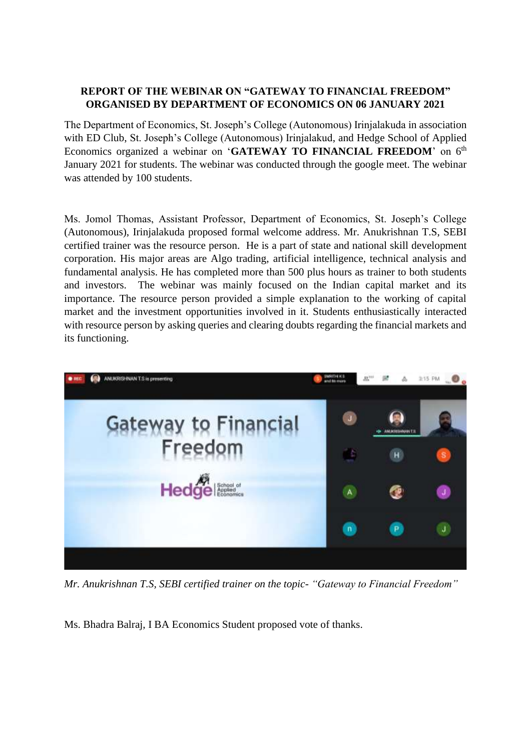## **REPORT OF THE WEBINAR ON "GATEWAY TO FINANCIAL FREEDOM" ORGANISED BY DEPARTMENT OF ECONOMICS ON 06 JANUARY 2021**

The Department of Economics, St. Joseph's College (Autonomous) Irinjalakuda in association with ED Club, St. Joseph's College (Autonomous) Irinjalakud, and Hedge School of Applied Economics organized a webinar on 'GATEWAY TO FINANCIAL FREEDOM' on 6<sup>th</sup> January 2021 for students. The webinar was conducted through the google meet. The webinar was attended by 100 students.

Ms. Jomol Thomas, Assistant Professor, Department of Economics, St. Joseph's College (Autonomous), Irinjalakuda proposed formal welcome address. Mr. Anukrishnan T.S, SEBI certified trainer was the resource person. He is a part of state and national skill development corporation. His major areas are Algo trading, artificial intelligence, technical analysis and fundamental analysis. He has completed more than 500 plus hours as trainer to both students and investors. The webinar was mainly focused on the Indian capital market and its importance. The resource person provided a simple explanation to the working of capital market and the investment opportunities involved in it. Students enthusiastically interacted with resource person by asking queries and clearing doubts regarding the financial markets and its functioning.



*Mr. Anukrishnan T.S, SEBI certified trainer on the topic- "Gateway to Financial Freedom"*

Ms. Bhadra Balraj, I BA Economics Student proposed vote of thanks.